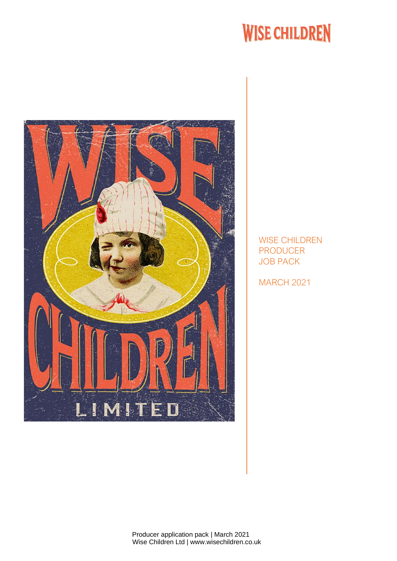# **WISE CHILDREN**



WISE CHILDREN PRODUCER JOB PACK

MARCH 2021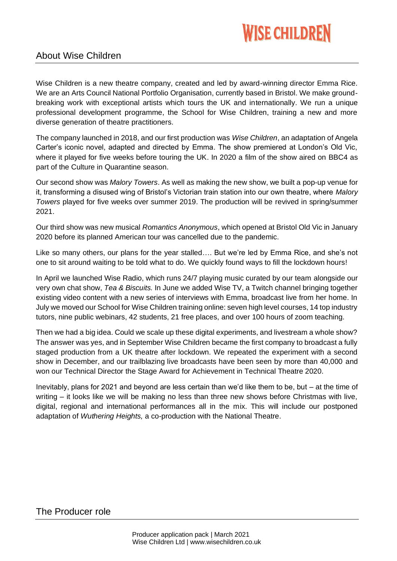# **WISE CHILDREN**

## About Wise Children

Wise Children is a new theatre company, created and led by award-winning director Emma Rice. We are an Arts Council National Portfolio Organisation, currently based in Bristol. We make groundbreaking work with exceptional artists which tours the UK and internationally. We run a unique professional development programme, the School for Wise Children, training a new and more diverse generation of theatre practitioners.

The company launched in 2018, and our first production was *Wise Children*, an adaptation of Angela Carter's iconic novel, adapted and directed by Emma. The show premiered at London's Old Vic, where it played for five weeks before touring the UK. In 2020 a film of the show aired on BBC4 as part of the Culture in Quarantine season.

Our second show was *Malory Towers*. As well as making the new show, we built a pop-up venue for it, transforming a disused wing of Bristol's Victorian train station into our own theatre, where *Malory Towers* played for five weeks over summer 2019. The production will be revived in spring/summer 2021.

Our third show was new musical *Romantics Anonymous*, which opened at Bristol Old Vic in January 2020 before its planned American tour was cancelled due to the pandemic.

Like so many others, our plans for the year stalled…. But we're led by Emma Rice, and she's not one to sit around waiting to be told what to do. We quickly found ways to fill the lockdown hours!

In April we launched Wise Radio, which runs 24/7 playing music curated by our team alongside our very own chat show, *Tea & Biscuits.* In June we added Wise TV, a Twitch channel bringing together existing video content with a new series of interviews with Emma, broadcast live from her home. In July we moved our School for Wise Children training online: seven high level courses, 14 top industry tutors, nine public webinars, 42 students, 21 free places, and over 100 hours of zoom teaching.

Then we had a big idea. Could we scale up these digital experiments, and livestream a whole show? The answer was yes, and in September Wise Children became the first company to broadcast a fully staged production from a UK theatre after lockdown. We repeated the experiment with a second show in December, and our trailblazing live broadcasts have been seen by more than 40,000 and won our Technical Director the Stage Award for Achievement in Technical Theatre 2020.

Inevitably, plans for 2021 and beyond are less certain than we'd like them to be, but – at the time of writing – it looks like we will be making no less than three new shows before Christmas with live, digital, regional and international performances all in the mix. This will include our postponed adaptation of *Wuthering Heights,* a co-production with the National Theatre.

## The Producer role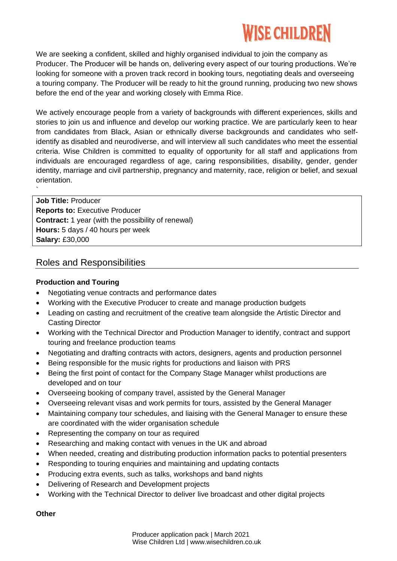## **WISE CHILDREN**

We are seeking a confident, skilled and highly organised individual to join the company as Producer. The Producer will be hands on, delivering every aspect of our touring productions. We're looking for someone with a proven track record in booking tours, negotiating deals and overseeing a touring company. The Producer will be ready to hit the ground running, producing two new shows before the end of the year and working closely with Emma Rice.

We actively encourage people from a variety of backgrounds with different experiences, skills and stories to join us and influence and develop our working practice. We are particularly keen to hear from candidates from Black, Asian or ethnically diverse backgrounds and candidates who selfidentify as disabled and neurodiverse, and will interview all such candidates who meet the essential criteria. Wise Children is committed to equality of opportunity for all staff and applications from individuals are encouraged regardless of age, caring responsibilities, disability, gender, gender identity, marriage and civil partnership, pregnancy and maternity, race, religion or belief, and sexual orientation.

**Job Title:** Producer **Reports to:** Executive Producer **Contract:** 1 year (with the possibility of renewal) **Hours:** 5 days / 40 hours per week **Salary:** £30,000

## Roles and Responsibilities

### **Production and Touring**

`

- Negotiating venue contracts and performance dates
- Working with the Executive Producer to create and manage production budgets
- Leading on casting and recruitment of the creative team alongside the Artistic Director and Casting Director
- Working with the Technical Director and Production Manager to identify, contract and support touring and freelance production teams
- Negotiating and drafting contracts with actors, designers, agents and production personnel
- Being responsible for the music rights for productions and liaison with PRS
- Being the first point of contact for the Company Stage Manager whilst productions are developed and on tour
- Overseeing booking of company travel, assisted by the General Manager
- Overseeing relevant visas and work permits for tours, assisted by the General Manager
- Maintaining company tour schedules, and liaising with the General Manager to ensure these are coordinated with the wider organisation schedule
- Representing the company on tour as required
- Researching and making contact with venues in the UK and abroad
- When needed, creating and distributing production information packs to potential presenters
- Responding to touring enquiries and maintaining and updating contacts
- Producing extra events, such as talks, workshops and band nights
- Delivering of Research and Development projects
- Working with the Technical Director to deliver live broadcast and other digital projects

#### **Other**